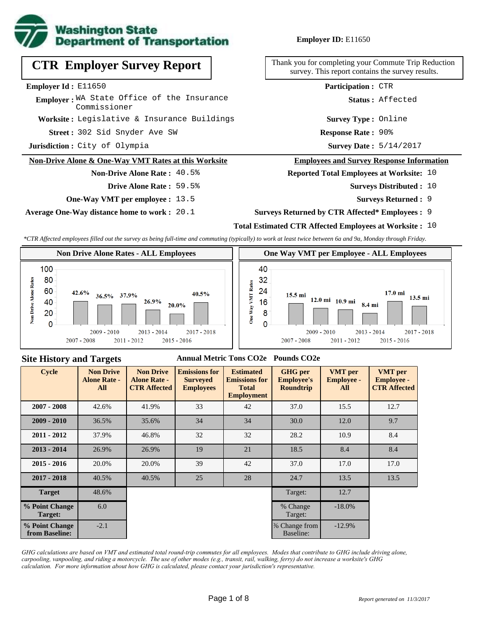

# **CTR Employer Survey Report**

#### **Employer Id :** E11650

Employer: WA State Office of the Insurance Commissioner

**Worksite :** Legislative & Insurance Buildings

302 Sid Snyder Ave SW **Response Rate : Street :**

**Jurisdiction :** City of Olympia

## **Non-Drive Alone & One-Way VMT Rates at this Worksite**

## **Non-Drive Alone Rate :** 40.5%

- **Drive Alone Rate :** 59.5%
- **One-Way VMT per employee :** 13.5

**Average One-Way distance home to work :** 20.1

## **Employer ID:** E11650

Thank you for completing your Commute Trip Reduction survey. This report contains the survey results.

**Participation :** CTR

**Status :** Affected

**Survey Type :** Online

**Response Rate: 90%** 

Survey Date:  $5/14/2017$ 

### **Employees and Survey Response Information**

## **Reported Total Employees at Worksite:** 10

- Surveys Distributed : 10
	- **Surveys Returned :** 9
- **Surveys Returned by CTR Affected\* Employees :** 9

## **Total Estimated CTR Affected Employees at Worksite :** 10

*\*CTR Affected employees filled out the survey as being full-time and commuting (typically) to work at least twice between 6a and 9a, Monday through Friday.*





## **Site History and Targets**

### **Annual Metric Tons CO2e Pounds CO2e**

| <b>Cycle</b>                     | <b>Non Drive</b><br><b>Alone Rate -</b><br>All | <b>Non Drive</b><br><b>Alone Rate -</b><br><b>CTR Affected</b> | <b>Emissions for</b><br><b>Surveyed</b><br><b>Employees</b> | <b>Estimated</b><br><b>Emissions for</b><br><b>Total</b><br><b>Employment</b> | <b>GHG</b> per<br><b>Employee's</b><br><b>Roundtrip</b> | <b>VMT</b> per<br><b>Employee -</b><br>All | <b>VMT</b> per<br><b>Employee -</b><br><b>CTR Affected</b> |
|----------------------------------|------------------------------------------------|----------------------------------------------------------------|-------------------------------------------------------------|-------------------------------------------------------------------------------|---------------------------------------------------------|--------------------------------------------|------------------------------------------------------------|
| $2007 - 2008$                    | 42.6%                                          | 41.9%                                                          | 33                                                          | 42                                                                            | 37.0                                                    | 15.5                                       | 12.7                                                       |
| $2009 - 2010$                    | 36.5%                                          | 35.6%                                                          | 34                                                          | 34                                                                            | 30.0                                                    | 12.0                                       | 9.7                                                        |
| $2011 - 2012$                    | 37.9%                                          | 46.8%                                                          | 32                                                          | 32                                                                            | 28.2                                                    | 10.9                                       | 8.4                                                        |
| $2013 - 2014$                    | 26.9%                                          | 26.9%                                                          | 19                                                          | 21                                                                            | 18.5                                                    | 8.4                                        | 8.4                                                        |
| $2015 - 2016$                    | 20.0%                                          | 20.0%                                                          | 39                                                          | 42                                                                            | 37.0                                                    | 17.0                                       | 17.0                                                       |
| $2017 - 2018$                    | 40.5%                                          | 40.5%                                                          | 25                                                          | 28                                                                            | 24.7                                                    | 13.5                                       | 13.5                                                       |
| <b>Target</b>                    | 48.6%                                          |                                                                |                                                             |                                                                               | Target:                                                 | 12.7                                       |                                                            |
| % Point Change<br>Target:        | 6.0                                            |                                                                |                                                             |                                                                               | % Change<br>Target:                                     | $-18.0\%$                                  |                                                            |
| % Point Change<br>from Baseline: | $-2.1$                                         |                                                                |                                                             |                                                                               | % Change from<br>Baseline:                              | $-12.9%$                                   |                                                            |

*GHG calculations are based on VMT and estimated total round-trip commutes for all employees. Modes that contribute to GHG include driving alone, carpooling, vanpooling, and riding a motorcycle. The use of other modes (e.g., transit, rail, walking, ferry) do not increase a worksite's GHG calculation. For more information about how GHG is calculated, please contact your jurisdiction's representative.*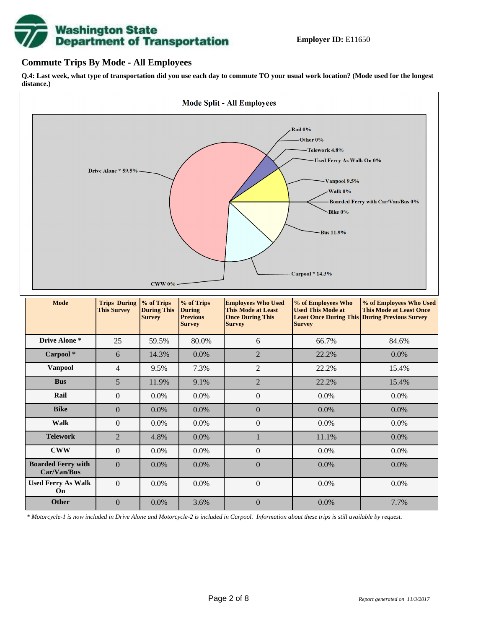# **Washington State<br>Department of Transportation**

## **Commute Trips By Mode - All Employees**

**Q.4: Last week, what type of transportation did you use each day to commute TO your usual work location? (Mode used for the longest distance.)**



*\* Motorcycle-1 is now included in Drive Alone and Motorcycle-2 is included in Carpool. Information about these trips is still available by request.*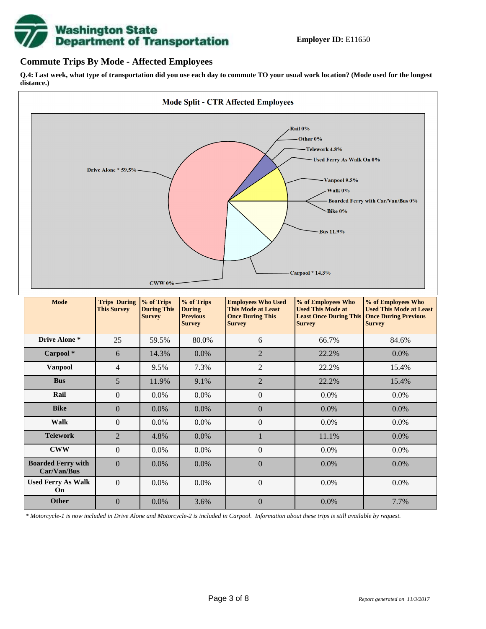

## **Commute Trips By Mode - Affected Employees**

**Q.4: Last week, what type of transportation did you use each day to commute TO your usual work location? (Mode used for the longest distance.)**



*\* Motorcycle-1 is now included in Drive Alone and Motorcycle-2 is included in Carpool. Information about these trips is still available by request.*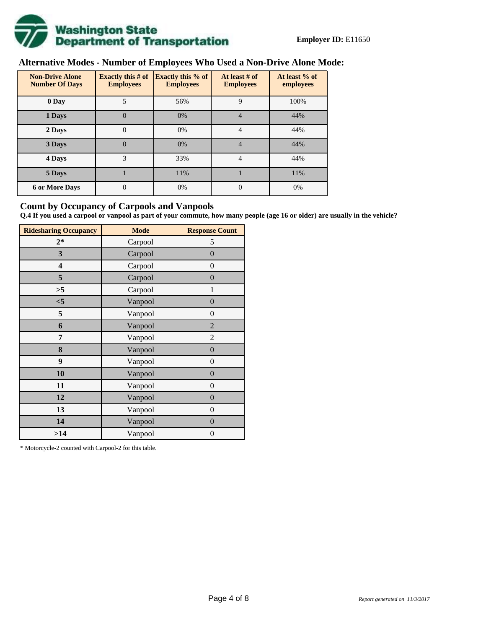

# **Alternative Modes - Number of Employees Who Used a Non-Drive Alone Mode:**

| <b>Non-Drive Alone</b><br><b>Number Of Days</b> | Exactly this $# of$<br><b>Employees</b> | <b>Exactly this % of</b><br><b>Employees</b> | At least # of<br><b>Employees</b> | At least % of<br>employees |  |  |
|-------------------------------------------------|-----------------------------------------|----------------------------------------------|-----------------------------------|----------------------------|--|--|
| 0 Day                                           | 5                                       | 56%                                          | 9                                 | 100%                       |  |  |
| 1 Days                                          | $\theta$                                | 0%                                           | 4                                 | 44%                        |  |  |
| 2 Days                                          | 0                                       | 0%                                           | 4                                 | 44%                        |  |  |
| 3 Days                                          | $\theta$                                | 0%                                           | 4                                 | 44%                        |  |  |
| 4 Days                                          | 3                                       | 33%                                          | $\overline{4}$                    | 44%                        |  |  |
| 5 Days                                          |                                         | 11%                                          |                                   | 11%                        |  |  |
| <b>6 or More Days</b>                           | $\theta$                                | 0%                                           | $\theta$                          | 0%                         |  |  |

## **Count by Occupancy of Carpools and Vanpools**

**Q.4 If you used a carpool or vanpool as part of your commute, how many people (age 16 or older) are usually in the vehicle?**

| <b>Ridesharing Occupancy</b> | <b>Mode</b> | <b>Response Count</b> |
|------------------------------|-------------|-----------------------|
| $2*$                         | Carpool     | 5                     |
| 3                            | Carpool     | $\boldsymbol{0}$      |
| 4                            | Carpool     | $\boldsymbol{0}$      |
| 5                            | Carpool     | $\overline{0}$        |
| >5                           | Carpool     | 1                     |
| $<$ 5                        | Vanpool     | $\overline{0}$        |
| 5                            | Vanpool     | $\overline{0}$        |
| 6                            | Vanpool     | 2                     |
| 7                            | Vanpool     | $\overline{2}$        |
| 8                            | Vanpool     | $\boldsymbol{0}$      |
| 9                            | Vanpool     | $\overline{0}$        |
| 10                           | Vanpool     | $\overline{0}$        |
| 11                           | Vanpool     | $\boldsymbol{0}$      |
| 12                           | Vanpool     | $\boldsymbol{0}$      |
| 13                           | Vanpool     | $\boldsymbol{0}$      |
| 14                           | Vanpool     | $\overline{0}$        |
| >14                          | Vanpool     | $\boldsymbol{0}$      |

\* Motorcycle-2 counted with Carpool-2 for this table.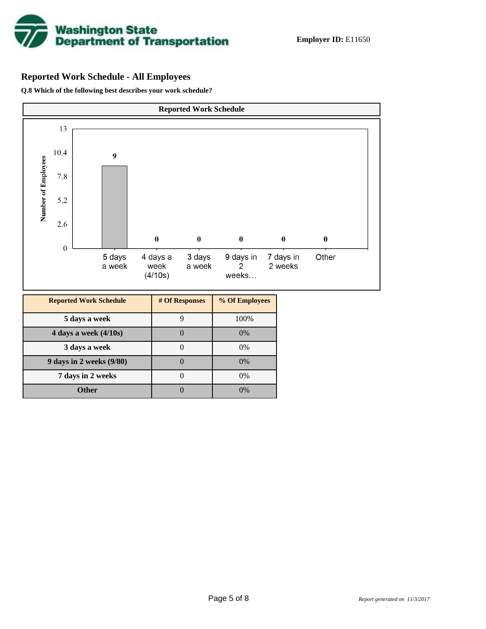

# **Reported Work Schedule - All Employees**

**Q.8 Which of the following best describes your work schedule?**

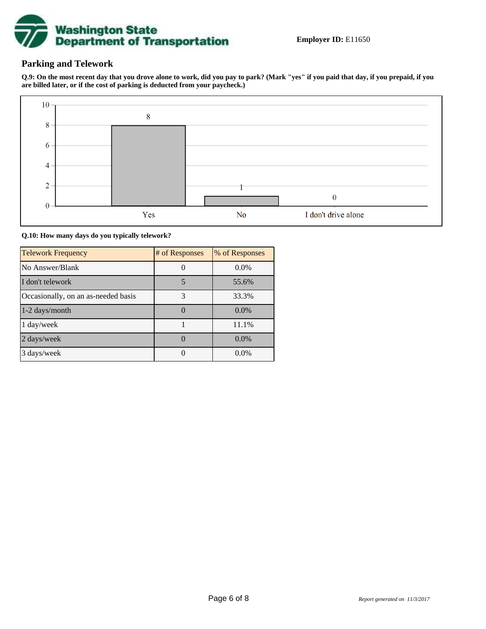

## **Parking and Telework**

**Q.9: On the most recent day that you drove alone to work, did you pay to park? (Mark "yes" if you paid that day, if you prepaid, if you are billed later, or if the cost of parking is deducted from your paycheck.)**



**Q.10: How many days do you typically telework?**

| <b>Telework Frequency</b>           | # of Responses | % of Responses |
|-------------------------------------|----------------|----------------|
| No Answer/Blank                     |                | $0.0\%$        |
| I don't telework                    | 5              | 55.6%          |
| Occasionally, on an as-needed basis | 3              | 33.3%          |
| 1-2 days/month                      |                | $0.0\%$        |
| 1 day/week                          |                | 11.1%          |
| 2 days/week                         |                | 0.0%           |
| 3 days/week                         |                | $0.0\%$        |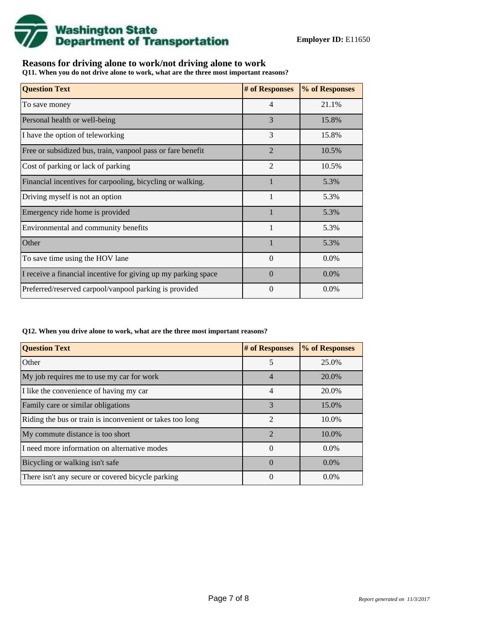

## **Reasons for driving alone to work/not driving alone to work**

**Q11. When you do not drive alone to work, what are the three most important reasons?**

| <b>Question Text</b>                                           | # of Responses | % of Responses |
|----------------------------------------------------------------|----------------|----------------|
| To save money                                                  | $\overline{4}$ | 21.1%          |
| Personal health or well-being                                  | 3              | 15.8%          |
| I have the option of teleworking                               | 3              | 15.8%          |
| Free or subsidized bus, train, vanpool pass or fare benefit    | $\overline{2}$ | 10.5%          |
| Cost of parking or lack of parking                             | 2              | 10.5%          |
| Financial incentives for carpooling, bicycling or walking.     |                | 5.3%           |
| Driving myself is not an option                                | 1              | 5.3%           |
| Emergency ride home is provided                                |                | 5.3%           |
| Environmental and community benefits                           | $\mathbf{1}$   | 5.3%           |
| Other                                                          |                | 5.3%           |
| To save time using the HOV lane                                | $\Omega$       | $0.0\%$        |
| I receive a financial incentive for giving up my parking space | $\Omega$       | $0.0\%$        |
| Preferred/reserved carpool/vanpool parking is provided         | $\Omega$       | 0.0%           |

**Q12. When you drive alone to work, what are the three most important reasons?**

| <b>Question Text</b>                                      | # of Responses              | % of Responses |
|-----------------------------------------------------------|-----------------------------|----------------|
| Other                                                     | 5                           | 25.0%          |
| My job requires me to use my car for work                 | $\overline{4}$              | 20.0%          |
| I like the convenience of having my car                   | 4                           | 20.0%          |
| Family care or similar obligations                        | 3                           | 15.0%          |
| Riding the bus or train is inconvenient or takes too long | $\mathfrak{D}$              | 10.0%          |
| My commute distance is too short                          | $\mathcal{D}_{\mathcal{A}}$ | 10.0%          |
| I need more information on alternative modes              | $\Omega$                    | $0.0\%$        |
| Bicycling or walking isn't safe                           | $\Omega$                    | $0.0\%$        |
| There isn't any secure or covered bicycle parking         | $\Omega$                    | $0.0\%$        |